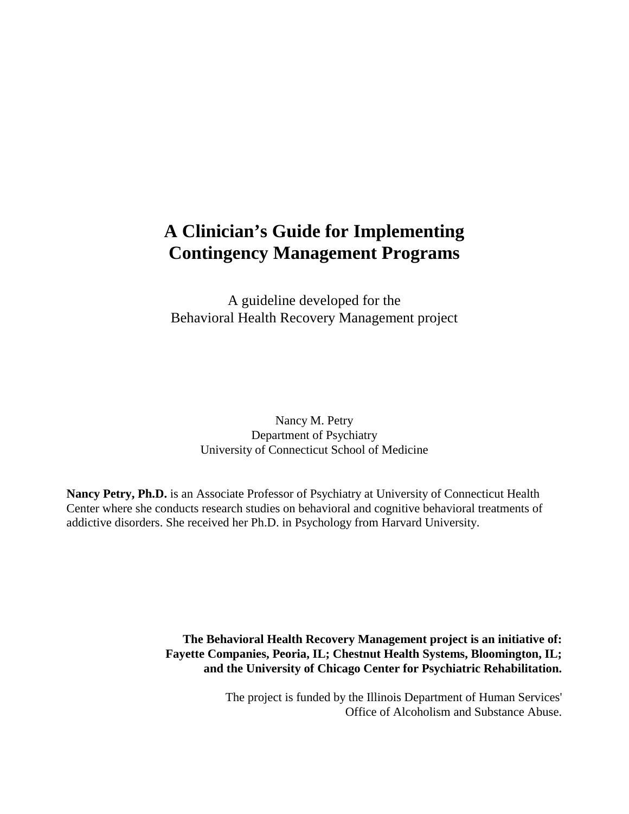# **A Clinician's Guide for Implementing Contingency Management Programs**

A guideline developed for the Behavioral Health Recovery Management project

> Nancy M. Petry Department of Psychiatry University of Connecticut School of Medicine

**Nancy Petry, Ph.D.** is an Associate Professor of Psychiatry at University of Connecticut Health Center where she conducts research studies on behavioral and cognitive behavioral treatments of addictive disorders. She received her Ph.D. in Psychology from Harvard University.

> **The Behavioral Health Recovery Management project is an initiative of: Fayette Companies, Peoria, IL; Chestnut Health Systems, Bloomington, IL; and the University of Chicago Center for Psychiatric Rehabilitation.**

> > The project is funded by the Illinois Department of Human Services' Office of Alcoholism and Substance Abuse.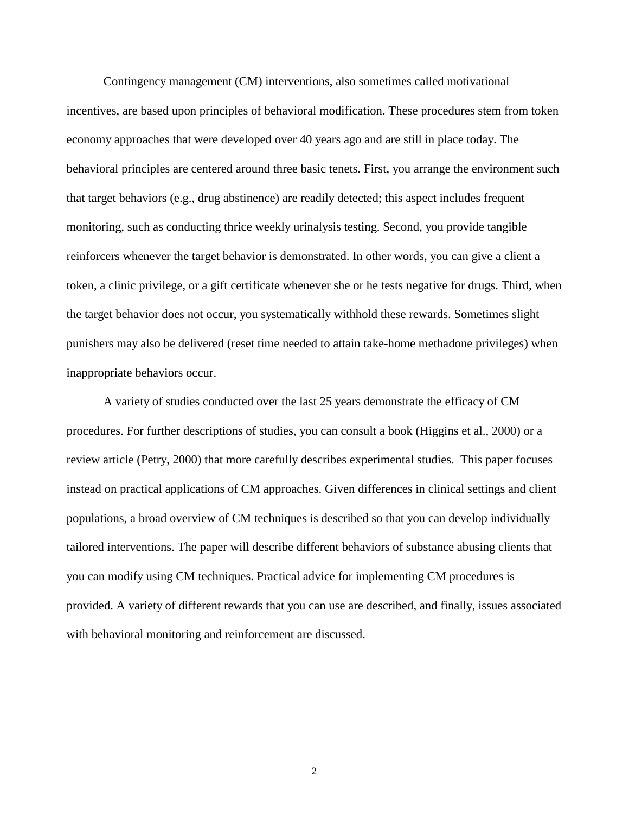Contingency management (CM) interventions, also sometimes called motivational incentives, are based upon principles of behavioral modification. These procedures stem from token economy approaches that were developed over 40 years ago and are still in place today. The behavioral principles are centered around three basic tenets. First, you arrange the environment such that target behaviors (e.g., drug abstinence) are readily detected; this aspect includes frequent monitoring, such as conducting thrice weekly urinalysis testing. Second, you provide tangible reinforcers whenever the target behavior is demonstrated. In other words, you can give a client a token, a clinic privilege, or a gift certificate whenever she or he tests negative for drugs. Third, when the target behavior does not occur, you systematically withhold these rewards. Sometimes slight punishers may also be delivered (reset time needed to attain take-home methadone privileges) when inappropriate behaviors occur.

A variety of studies conducted over the last 25 years demonstrate the efficacy of CM procedures. For further descriptions of studies, you can consult a book (Higgins et al., 2000) or a review article (Petry, 2000) that more carefully describes experimental studies. This paper focuses instead on practical applications of CM approaches. Given differences in clinical settings and client populations, a broad overview of CM techniques is described so that you can develop individually tailored interventions. The paper will describe different behaviors of substance abusing clients that you can modify using CM techniques. Practical advice for implementing CM procedures is provided. A variety of different rewards that you can use are described, and finally, issues associated with behavioral monitoring and reinforcement are discussed.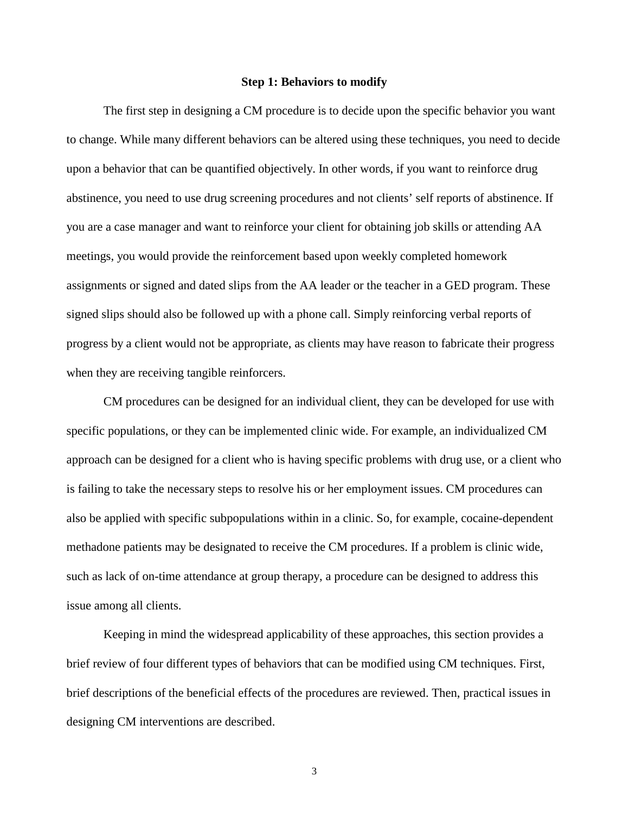#### **Step 1: Behaviors to modify**

The first step in designing a CM procedure is to decide upon the specific behavior you want to change. While many different behaviors can be altered using these techniques, you need to decide upon a behavior that can be quantified objectively. In other words, if you want to reinforce drug abstinence, you need to use drug screening procedures and not clients' self reports of abstinence. If you are a case manager and want to reinforce your client for obtaining job skills or attending AA meetings, you would provide the reinforcement based upon weekly completed homework assignments or signed and dated slips from the AA leader or the teacher in a GED program. These signed slips should also be followed up with a phone call. Simply reinforcing verbal reports of progress by a client would not be appropriate, as clients may have reason to fabricate their progress when they are receiving tangible reinforcers.

CM procedures can be designed for an individual client, they can be developed for use with specific populations, or they can be implemented clinic wide. For example, an individualized CM approach can be designed for a client who is having specific problems with drug use, or a client who is failing to take the necessary steps to resolve his or her employment issues. CM procedures can also be applied with specific subpopulations within in a clinic. So, for example, cocaine-dependent methadone patients may be designated to receive the CM procedures. If a problem is clinic wide, such as lack of on-time attendance at group therapy, a procedure can be designed to address this issue among all clients.

Keeping in mind the widespread applicability of these approaches, this section provides a brief review of four different types of behaviors that can be modified using CM techniques. First, brief descriptions of the beneficial effects of the procedures are reviewed. Then, practical issues in designing CM interventions are described.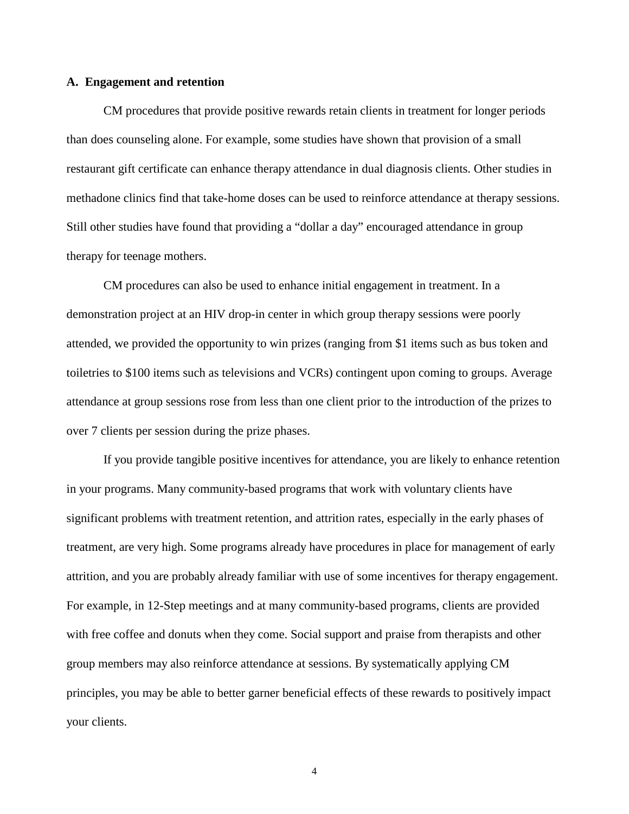#### **A. Engagement and retention**

CM procedures that provide positive rewards retain clients in treatment for longer periods than does counseling alone. For example, some studies have shown that provision of a small restaurant gift certificate can enhance therapy attendance in dual diagnosis clients. Other studies in methadone clinics find that take-home doses can be used to reinforce attendance at therapy sessions. Still other studies have found that providing a "dollar a day" encouraged attendance in group therapy for teenage mothers.

CM procedures can also be used to enhance initial engagement in treatment. In a demonstration project at an HIV drop-in center in which group therapy sessions were poorly attended, we provided the opportunity to win prizes (ranging from \$1 items such as bus token and toiletries to \$100 items such as televisions and VCRs) contingent upon coming to groups. Average attendance at group sessions rose from less than one client prior to the introduction of the prizes to over 7 clients per session during the prize phases.

If you provide tangible positive incentives for attendance, you are likely to enhance retention in your programs. Many community-based programs that work with voluntary clients have significant problems with treatment retention, and attrition rates, especially in the early phases of treatment, are very high. Some programs already have procedures in place for management of early attrition, and you are probably already familiar with use of some incentives for therapy engagement. For example, in 12-Step meetings and at many community-based programs, clients are provided with free coffee and donuts when they come. Social support and praise from therapists and other group members may also reinforce attendance at sessions. By systematically applying CM principles, you may be able to better garner beneficial effects of these rewards to positively impact your clients.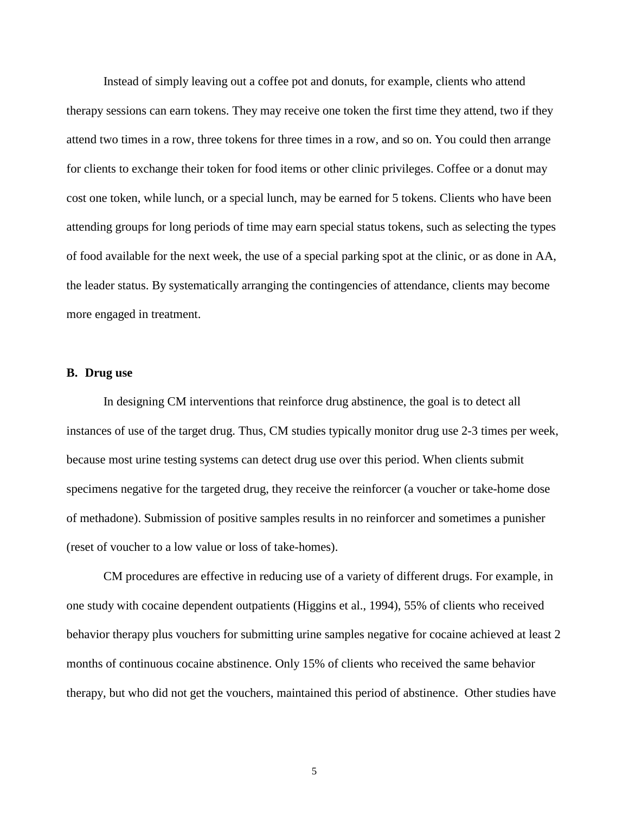Instead of simply leaving out a coffee pot and donuts, for example, clients who attend therapy sessions can earn tokens. They may receive one token the first time they attend, two if they attend two times in a row, three tokens for three times in a row, and so on. You could then arrange for clients to exchange their token for food items or other clinic privileges. Coffee or a donut may cost one token, while lunch, or a special lunch, may be earned for 5 tokens. Clients who have been attending groups for long periods of time may earn special status tokens, such as selecting the types of food available for the next week, the use of a special parking spot at the clinic, or as done in AA, the leader status. By systematically arranging the contingencies of attendance, clients may become more engaged in treatment.

# **B. Drug use**

In designing CM interventions that reinforce drug abstinence, the goal is to detect all instances of use of the target drug. Thus, CM studies typically monitor drug use 2-3 times per week, because most urine testing systems can detect drug use over this period. When clients submit specimens negative for the targeted drug, they receive the reinforcer (a voucher or take-home dose of methadone). Submission of positive samples results in no reinforcer and sometimes a punisher (reset of voucher to a low value or loss of take-homes).

CM procedures are effective in reducing use of a variety of different drugs. For example, in one study with cocaine dependent outpatients (Higgins et al., 1994), 55% of clients who received behavior therapy plus vouchers for submitting urine samples negative for cocaine achieved at least 2 months of continuous cocaine abstinence. Only 15% of clients who received the same behavior therapy, but who did not get the vouchers, maintained this period of abstinence. Other studies have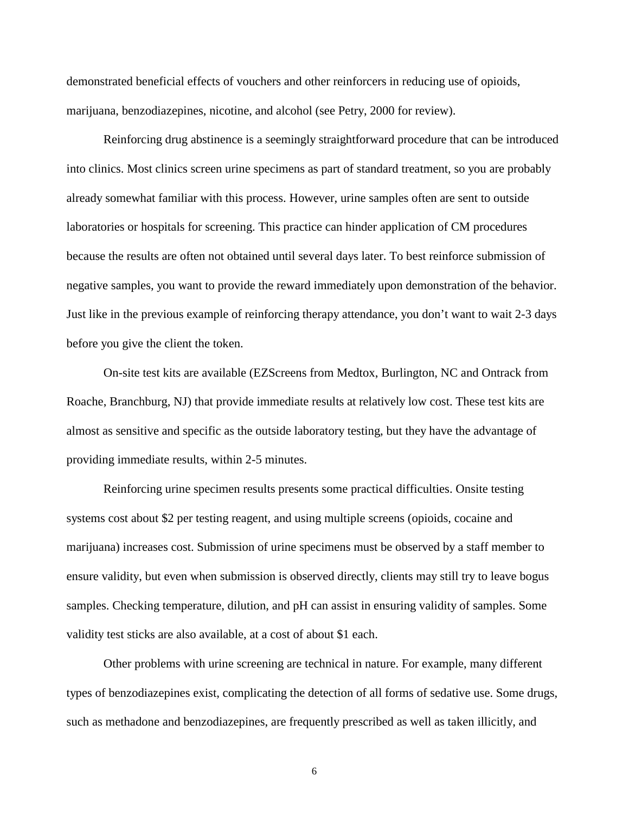demonstrated beneficial effects of vouchers and other reinforcers in reducing use of opioids, marijuana, benzodiazepines, nicotine, and alcohol (see Petry, 2000 for review).

Reinforcing drug abstinence is a seemingly straightforward procedure that can be introduced into clinics. Most clinics screen urine specimens as part of standard treatment, so you are probably already somewhat familiar with this process. However, urine samples often are sent to outside laboratories or hospitals for screening. This practice can hinder application of CM procedures because the results are often not obtained until several days later. To best reinforce submission of negative samples, you want to provide the reward immediately upon demonstration of the behavior. Just like in the previous example of reinforcing therapy attendance, you don't want to wait 2-3 days before you give the client the token.

On-site test kits are available (EZScreens from Medtox, Burlington, NC and Ontrack from Roache, Branchburg, NJ) that provide immediate results at relatively low cost. These test kits are almost as sensitive and specific as the outside laboratory testing, but they have the advantage of providing immediate results, within 2-5 minutes.

Reinforcing urine specimen results presents some practical difficulties. Onsite testing systems cost about \$2 per testing reagent, and using multiple screens (opioids, cocaine and marijuana) increases cost. Submission of urine specimens must be observed by a staff member to ensure validity, but even when submission is observed directly, clients may still try to leave bogus samples. Checking temperature, dilution, and pH can assist in ensuring validity of samples. Some validity test sticks are also available, at a cost of about \$1 each.

Other problems with urine screening are technical in nature. For example, many different types of benzodiazepines exist, complicating the detection of all forms of sedative use. Some drugs, such as methadone and benzodiazepines, are frequently prescribed as well as taken illicitly, and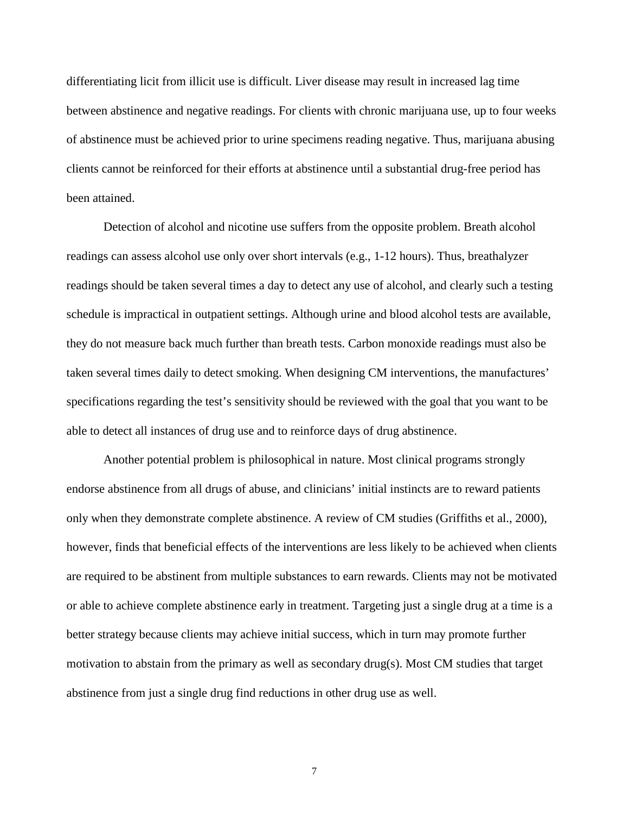differentiating licit from illicit use is difficult. Liver disease may result in increased lag time between abstinence and negative readings. For clients with chronic marijuana use, up to four weeks of abstinence must be achieved prior to urine specimens reading negative. Thus, marijuana abusing clients cannot be reinforced for their efforts at abstinence until a substantial drug-free period has been attained.

Detection of alcohol and nicotine use suffers from the opposite problem. Breath alcohol readings can assess alcohol use only over short intervals (e.g., 1-12 hours). Thus, breathalyzer readings should be taken several times a day to detect any use of alcohol, and clearly such a testing schedule is impractical in outpatient settings. Although urine and blood alcohol tests are available, they do not measure back much further than breath tests. Carbon monoxide readings must also be taken several times daily to detect smoking. When designing CM interventions, the manufactures' specifications regarding the test's sensitivity should be reviewed with the goal that you want to be able to detect all instances of drug use and to reinforce days of drug abstinence.

Another potential problem is philosophical in nature. Most clinical programs strongly endorse abstinence from all drugs of abuse, and clinicians' initial instincts are to reward patients only when they demonstrate complete abstinence. A review of CM studies (Griffiths et al., 2000), however, finds that beneficial effects of the interventions are less likely to be achieved when clients are required to be abstinent from multiple substances to earn rewards. Clients may not be motivated or able to achieve complete abstinence early in treatment. Targeting just a single drug at a time is a better strategy because clients may achieve initial success, which in turn may promote further motivation to abstain from the primary as well as secondary drug(s). Most CM studies that target abstinence from just a single drug find reductions in other drug use as well.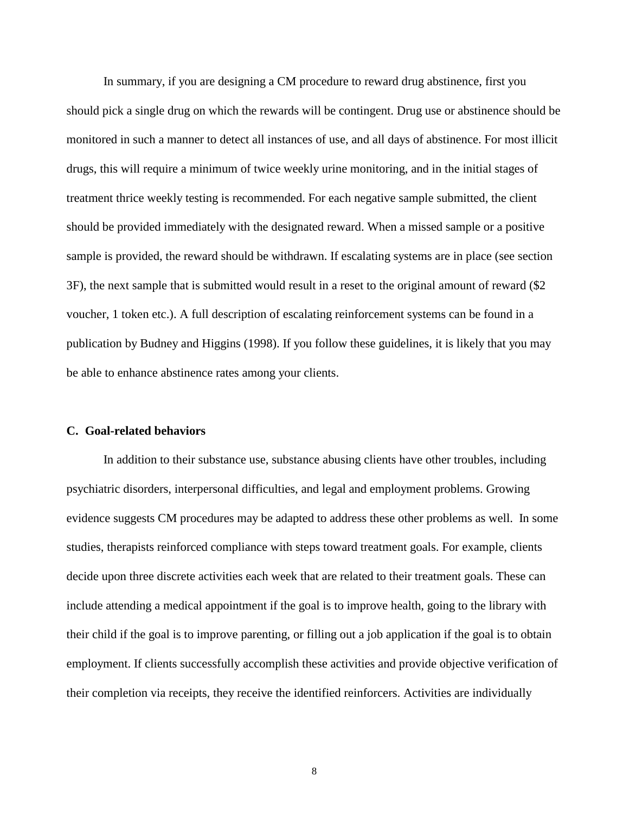In summary, if you are designing a CM procedure to reward drug abstinence, first you should pick a single drug on which the rewards will be contingent. Drug use or abstinence should be monitored in such a manner to detect all instances of use, and all days of abstinence. For most illicit drugs, this will require a minimum of twice weekly urine monitoring, and in the initial stages of treatment thrice weekly testing is recommended. For each negative sample submitted, the client should be provided immediately with the designated reward. When a missed sample or a positive sample is provided, the reward should be withdrawn. If escalating systems are in place (see section 3F), the next sample that is submitted would result in a reset to the original amount of reward (\$2 voucher, 1 token etc.). A full description of escalating reinforcement systems can be found in a publication by Budney and Higgins (1998). If you follow these guidelines, it is likely that you may be able to enhance abstinence rates among your clients.

#### **C. Goal-related behaviors**

In addition to their substance use, substance abusing clients have other troubles, including psychiatric disorders, interpersonal difficulties, and legal and employment problems. Growing evidence suggests CM procedures may be adapted to address these other problems as well. In some studies, therapists reinforced compliance with steps toward treatment goals. For example, clients decide upon three discrete activities each week that are related to their treatment goals. These can include attending a medical appointment if the goal is to improve health, going to the library with their child if the goal is to improve parenting, or filling out a job application if the goal is to obtain employment. If clients successfully accomplish these activities and provide objective verification of their completion via receipts, they receive the identified reinforcers. Activities are individually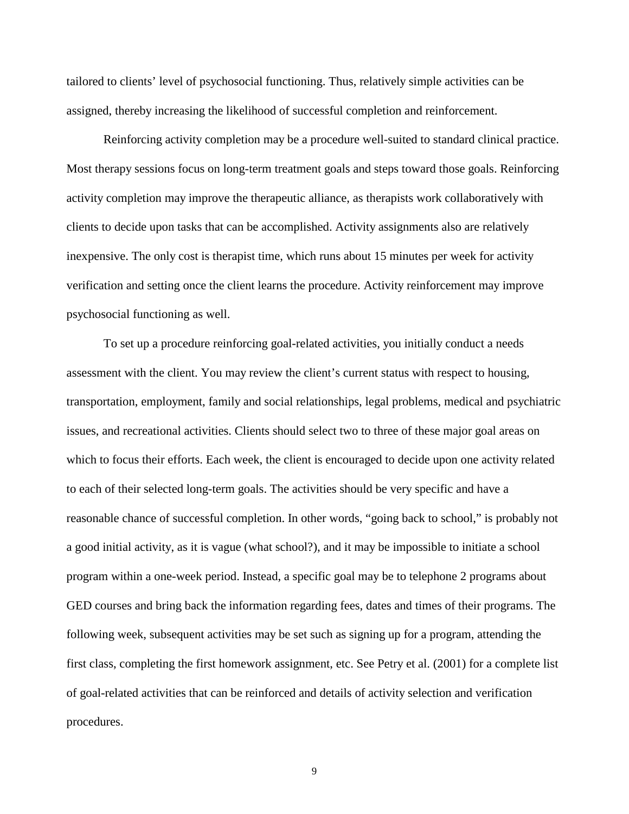tailored to clients' level of psychosocial functioning. Thus, relatively simple activities can be assigned, thereby increasing the likelihood of successful completion and reinforcement.

Reinforcing activity completion may be a procedure well-suited to standard clinical practice. Most therapy sessions focus on long-term treatment goals and steps toward those goals. Reinforcing activity completion may improve the therapeutic alliance, as therapists work collaboratively with clients to decide upon tasks that can be accomplished. Activity assignments also are relatively inexpensive. The only cost is therapist time, which runs about 15 minutes per week for activity verification and setting once the client learns the procedure. Activity reinforcement may improve psychosocial functioning as well.

To set up a procedure reinforcing goal-related activities, you initially conduct a needs assessment with the client. You may review the client's current status with respect to housing, transportation, employment, family and social relationships, legal problems, medical and psychiatric issues, and recreational activities. Clients should select two to three of these major goal areas on which to focus their efforts. Each week, the client is encouraged to decide upon one activity related to each of their selected long-term goals. The activities should be very specific and have a reasonable chance of successful completion. In other words, "going back to school," is probably not a good initial activity, as it is vague (what school?), and it may be impossible to initiate a school program within a one-week period. Instead, a specific goal may be to telephone 2 programs about GED courses and bring back the information regarding fees, dates and times of their programs. The following week, subsequent activities may be set such as signing up for a program, attending the first class, completing the first homework assignment, etc. See Petry et al. (2001) for a complete list of goal-related activities that can be reinforced and details of activity selection and verification procedures.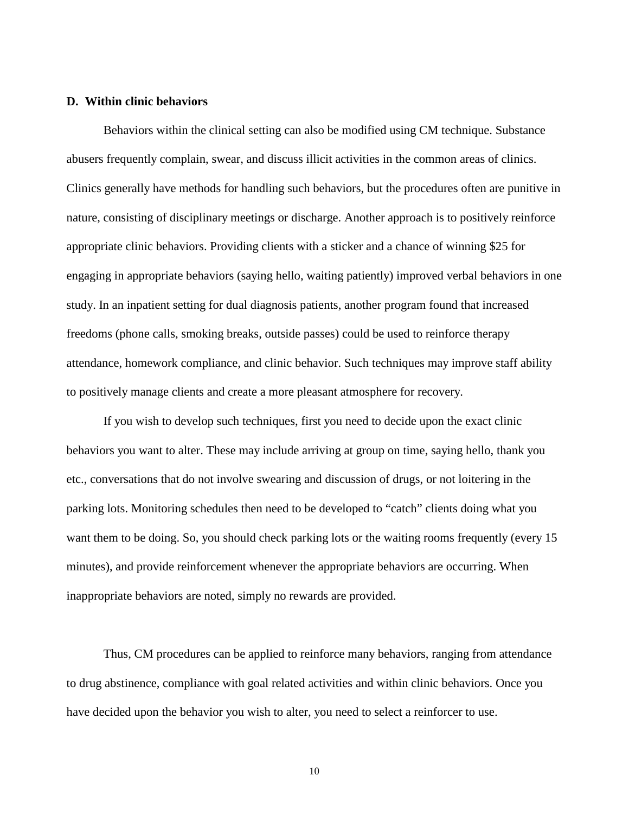## **D. Within clinic behaviors**

Behaviors within the clinical setting can also be modified using CM technique. Substance abusers frequently complain, swear, and discuss illicit activities in the common areas of clinics. Clinics generally have methods for handling such behaviors, but the procedures often are punitive in nature, consisting of disciplinary meetings or discharge. Another approach is to positively reinforce appropriate clinic behaviors. Providing clients with a sticker and a chance of winning \$25 for engaging in appropriate behaviors (saying hello, waiting patiently) improved verbal behaviors in one study. In an inpatient setting for dual diagnosis patients, another program found that increased freedoms (phone calls, smoking breaks, outside passes) could be used to reinforce therapy attendance, homework compliance, and clinic behavior. Such techniques may improve staff ability to positively manage clients and create a more pleasant atmosphere for recovery.

If you wish to develop such techniques, first you need to decide upon the exact clinic behaviors you want to alter. These may include arriving at group on time, saying hello, thank you etc., conversations that do not involve swearing and discussion of drugs, or not loitering in the parking lots. Monitoring schedules then need to be developed to "catch" clients doing what you want them to be doing. So, you should check parking lots or the waiting rooms frequently (every 15 minutes), and provide reinforcement whenever the appropriate behaviors are occurring. When inappropriate behaviors are noted, simply no rewards are provided.

Thus, CM procedures can be applied to reinforce many behaviors, ranging from attendance to drug abstinence, compliance with goal related activities and within clinic behaviors. Once you have decided upon the behavior you wish to alter, you need to select a reinforcer to use.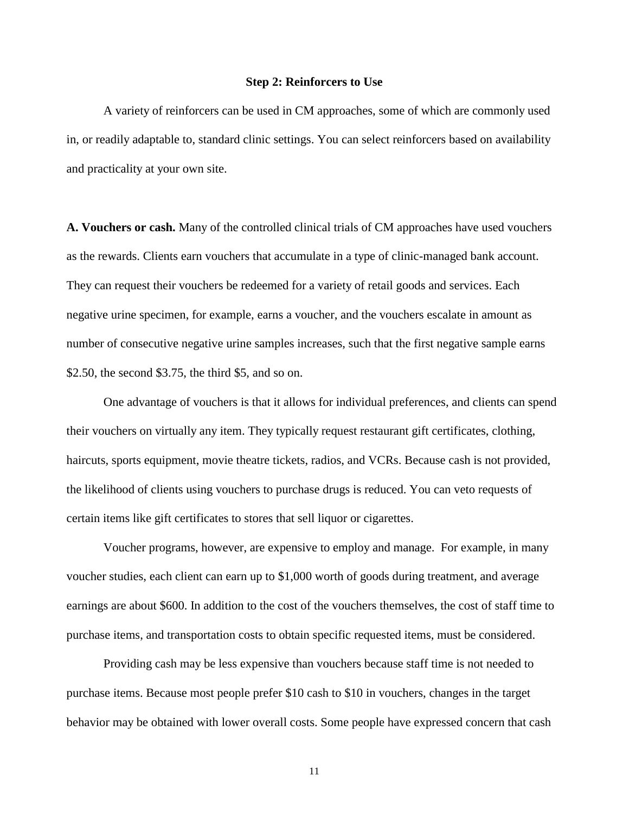#### **Step 2: Reinforcers to Use**

A variety of reinforcers can be used in CM approaches, some of which are commonly used in, or readily adaptable to, standard clinic settings. You can select reinforcers based on availability and practicality at your own site.

**A. Vouchers or cash.** Many of the controlled clinical trials of CM approaches have used vouchers as the rewards. Clients earn vouchers that accumulate in a type of clinic-managed bank account. They can request their vouchers be redeemed for a variety of retail goods and services. Each negative urine specimen, for example, earns a voucher, and the vouchers escalate in amount as number of consecutive negative urine samples increases, such that the first negative sample earns \$2.50, the second \$3.75, the third \$5, and so on.

One advantage of vouchers is that it allows for individual preferences, and clients can spend their vouchers on virtually any item. They typically request restaurant gift certificates, clothing, haircuts, sports equipment, movie theatre tickets, radios, and VCRs. Because cash is not provided, the likelihood of clients using vouchers to purchase drugs is reduced. You can veto requests of certain items like gift certificates to stores that sell liquor or cigarettes.

Voucher programs, however, are expensive to employ and manage. For example, in many voucher studies, each client can earn up to \$1,000 worth of goods during treatment, and average earnings are about \$600. In addition to the cost of the vouchers themselves, the cost of staff time to purchase items, and transportation costs to obtain specific requested items, must be considered.

Providing cash may be less expensive than vouchers because staff time is not needed to purchase items. Because most people prefer \$10 cash to \$10 in vouchers, changes in the target behavior may be obtained with lower overall costs. Some people have expressed concern that cash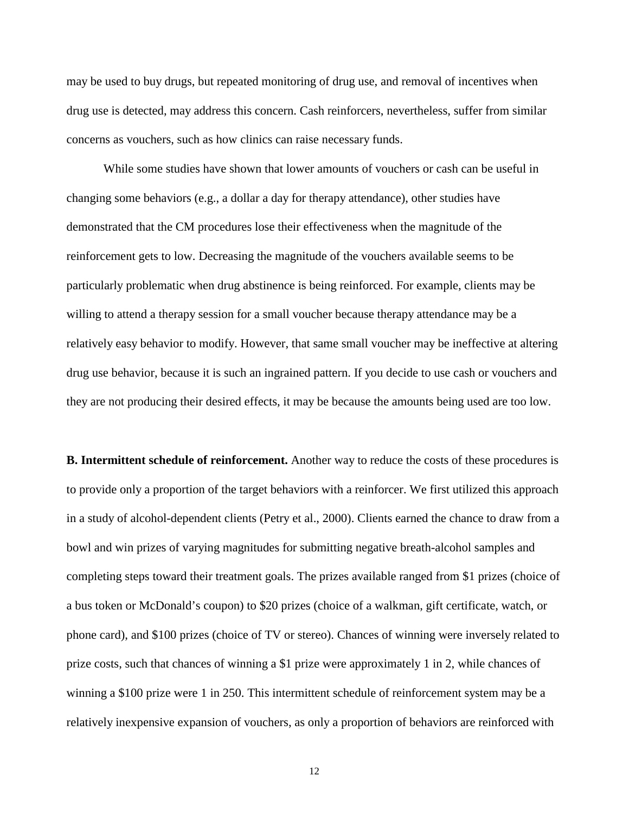may be used to buy drugs, but repeated monitoring of drug use, and removal of incentives when drug use is detected, may address this concern. Cash reinforcers, nevertheless, suffer from similar concerns as vouchers, such as how clinics can raise necessary funds.

While some studies have shown that lower amounts of vouchers or cash can be useful in changing some behaviors (e.g., a dollar a day for therapy attendance), other studies have demonstrated that the CM procedures lose their effectiveness when the magnitude of the reinforcement gets to low. Decreasing the magnitude of the vouchers available seems to be particularly problematic when drug abstinence is being reinforced. For example, clients may be willing to attend a therapy session for a small voucher because therapy attendance may be a relatively easy behavior to modify. However, that same small voucher may be ineffective at altering drug use behavior, because it is such an ingrained pattern. If you decide to use cash or vouchers and they are not producing their desired effects, it may be because the amounts being used are too low.

**B. Intermittent schedule of reinforcement.** Another way to reduce the costs of these procedures is to provide only a proportion of the target behaviors with a reinforcer. We first utilized this approach in a study of alcohol-dependent clients (Petry et al., 2000). Clients earned the chance to draw from a bowl and win prizes of varying magnitudes for submitting negative breath-alcohol samples and completing steps toward their treatment goals. The prizes available ranged from \$1 prizes (choice of a bus token or McDonald's coupon) to \$20 prizes (choice of a walkman, gift certificate, watch, or phone card), and \$100 prizes (choice of TV or stereo). Chances of winning were inversely related to prize costs, such that chances of winning a \$1 prize were approximately 1 in 2, while chances of winning a \$100 prize were 1 in 250. This intermittent schedule of reinforcement system may be a relatively inexpensive expansion of vouchers, as only a proportion of behaviors are reinforced with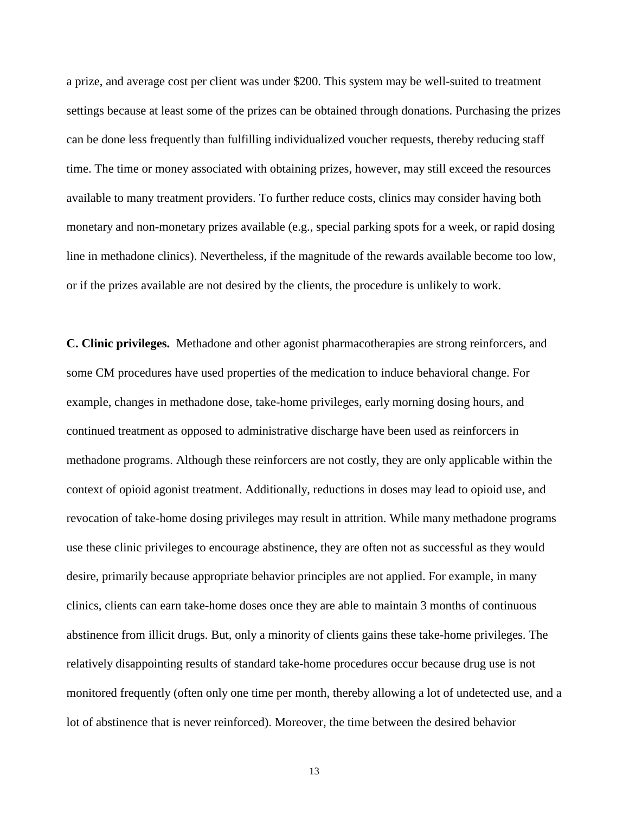a prize, and average cost per client was under \$200. This system may be well-suited to treatment settings because at least some of the prizes can be obtained through donations. Purchasing the prizes can be done less frequently than fulfilling individualized voucher requests, thereby reducing staff time. The time or money associated with obtaining prizes, however, may still exceed the resources available to many treatment providers. To further reduce costs, clinics may consider having both monetary and non-monetary prizes available (e.g., special parking spots for a week, or rapid dosing line in methadone clinics). Nevertheless, if the magnitude of the rewards available become too low, or if the prizes available are not desired by the clients, the procedure is unlikely to work.

**C. Clinic privileges.** Methadone and other agonist pharmacotherapies are strong reinforcers, and some CM procedures have used properties of the medication to induce behavioral change. For example, changes in methadone dose, take-home privileges, early morning dosing hours, and continued treatment as opposed to administrative discharge have been used as reinforcers in methadone programs. Although these reinforcers are not costly, they are only applicable within the context of opioid agonist treatment. Additionally, reductions in doses may lead to opioid use, and revocation of take-home dosing privileges may result in attrition. While many methadone programs use these clinic privileges to encourage abstinence, they are often not as successful as they would desire, primarily because appropriate behavior principles are not applied. For example, in many clinics, clients can earn take-home doses once they are able to maintain 3 months of continuous abstinence from illicit drugs. But, only a minority of clients gains these take-home privileges. The relatively disappointing results of standard take-home procedures occur because drug use is not monitored frequently (often only one time per month, thereby allowing a lot of undetected use, and a lot of abstinence that is never reinforced). Moreover, the time between the desired behavior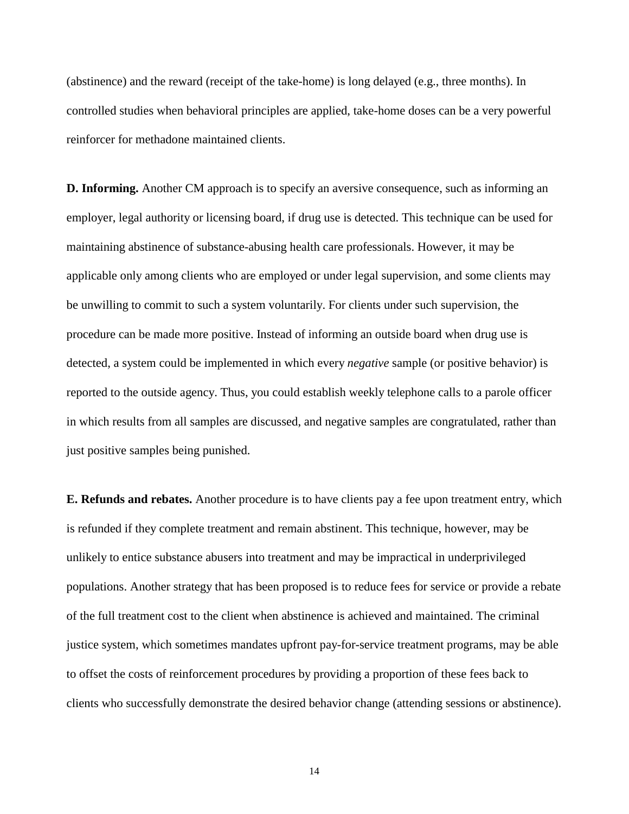(abstinence) and the reward (receipt of the take-home) is long delayed (e.g., three months). In controlled studies when behavioral principles are applied, take-home doses can be a very powerful reinforcer for methadone maintained clients.

**D. Informing.** Another CM approach is to specify an aversive consequence, such as informing an employer, legal authority or licensing board, if drug use is detected. This technique can be used for maintaining abstinence of substance-abusing health care professionals. However, it may be applicable only among clients who are employed or under legal supervision, and some clients may be unwilling to commit to such a system voluntarily. For clients under such supervision, the procedure can be made more positive. Instead of informing an outside board when drug use is detected, a system could be implemented in which every *negative* sample (or positive behavior) is reported to the outside agency. Thus, you could establish weekly telephone calls to a parole officer in which results from all samples are discussed, and negative samples are congratulated, rather than just positive samples being punished.

**E. Refunds and rebates.** Another procedure is to have clients pay a fee upon treatment entry, which is refunded if they complete treatment and remain abstinent. This technique, however, may be unlikely to entice substance abusers into treatment and may be impractical in underprivileged populations. Another strategy that has been proposed is to reduce fees for service or provide a rebate of the full treatment cost to the client when abstinence is achieved and maintained. The criminal justice system, which sometimes mandates upfront pay-for-service treatment programs, may be able to offset the costs of reinforcement procedures by providing a proportion of these fees back to clients who successfully demonstrate the desired behavior change (attending sessions or abstinence).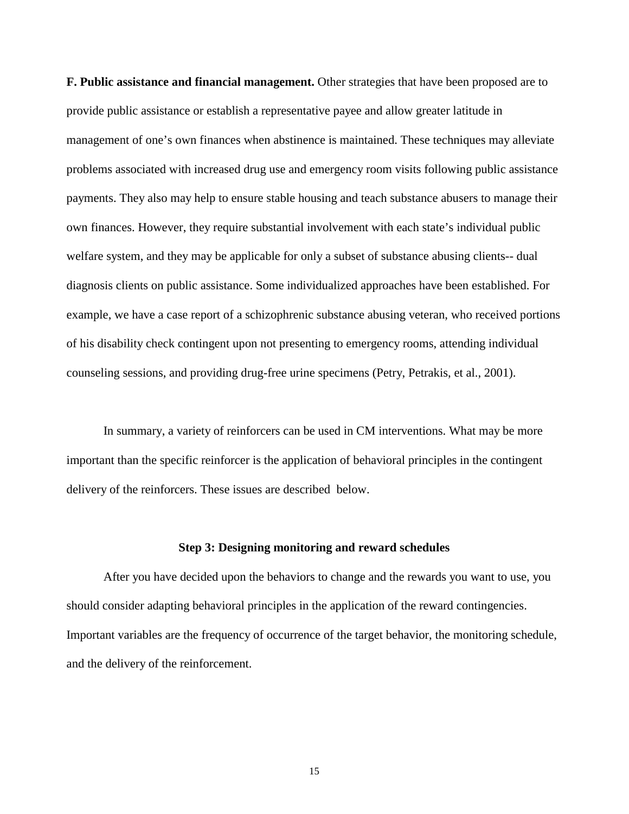**F. Public assistance and financial management.** Other strategies that have been proposed are to provide public assistance or establish a representative payee and allow greater latitude in management of one's own finances when abstinence is maintained. These techniques may alleviate problems associated with increased drug use and emergency room visits following public assistance payments. They also may help to ensure stable housing and teach substance abusers to manage their own finances. However, they require substantial involvement with each state's individual public welfare system, and they may be applicable for only a subset of substance abusing clients-- dual diagnosis clients on public assistance. Some individualized approaches have been established. For example, we have a case report of a schizophrenic substance abusing veteran, who received portions of his disability check contingent upon not presenting to emergency rooms, attending individual counseling sessions, and providing drug-free urine specimens (Petry, Petrakis, et al., 2001).

In summary, a variety of reinforcers can be used in CM interventions. What may be more important than the specific reinforcer is the application of behavioral principles in the contingent delivery of the reinforcers. These issues are described below.

#### **Step 3: Designing monitoring and reward schedules**

After you have decided upon the behaviors to change and the rewards you want to use, you should consider adapting behavioral principles in the application of the reward contingencies. Important variables are the frequency of occurrence of the target behavior, the monitoring schedule, and the delivery of the reinforcement.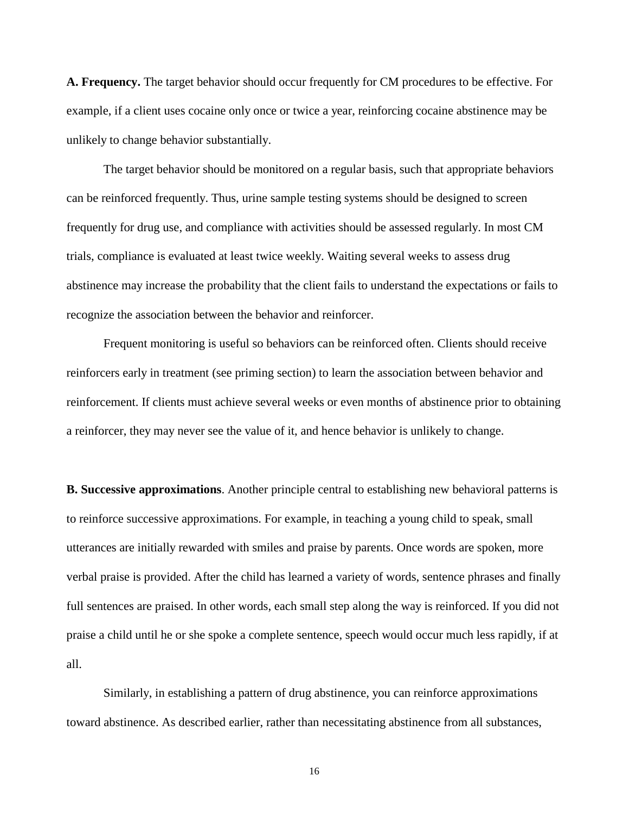**A. Frequency.** The target behavior should occur frequently for CM procedures to be effective. For example, if a client uses cocaine only once or twice a year, reinforcing cocaine abstinence may be unlikely to change behavior substantially.

The target behavior should be monitored on a regular basis, such that appropriate behaviors can be reinforced frequently. Thus, urine sample testing systems should be designed to screen frequently for drug use, and compliance with activities should be assessed regularly. In most CM trials, compliance is evaluated at least twice weekly. Waiting several weeks to assess drug abstinence may increase the probability that the client fails to understand the expectations or fails to recognize the association between the behavior and reinforcer.

Frequent monitoring is useful so behaviors can be reinforced often. Clients should receive reinforcers early in treatment (see priming section) to learn the association between behavior and reinforcement. If clients must achieve several weeks or even months of abstinence prior to obtaining a reinforcer, they may never see the value of it, and hence behavior is unlikely to change.

**B. Successive approximations**. Another principle central to establishing new behavioral patterns is to reinforce successive approximations. For example, in teaching a young child to speak, small utterances are initially rewarded with smiles and praise by parents. Once words are spoken, more verbal praise is provided. After the child has learned a variety of words, sentence phrases and finally full sentences are praised. In other words, each small step along the way is reinforced. If you did not praise a child until he or she spoke a complete sentence, speech would occur much less rapidly, if at all.

Similarly, in establishing a pattern of drug abstinence, you can reinforce approximations toward abstinence. As described earlier, rather than necessitating abstinence from all substances,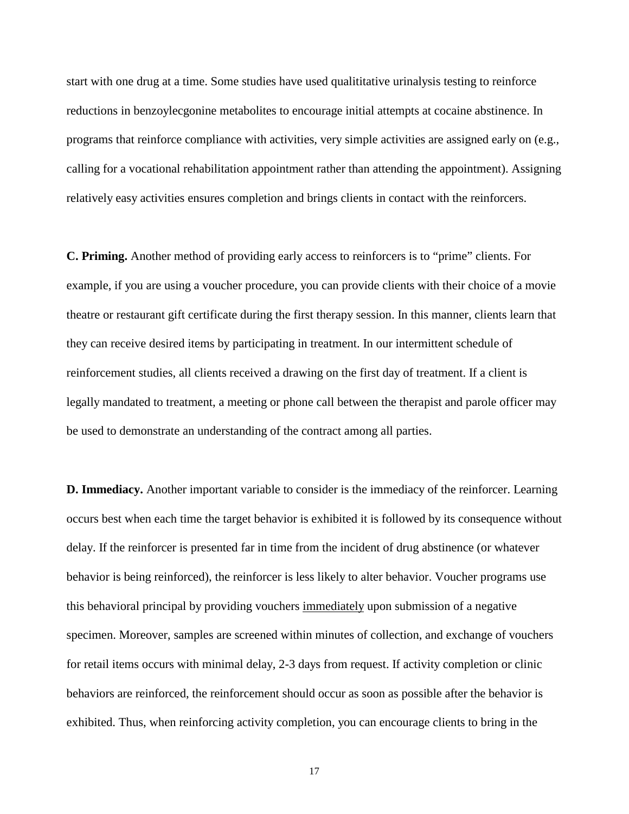start with one drug at a time. Some studies have used qualititative urinalysis testing to reinforce reductions in benzoylecgonine metabolites to encourage initial attempts at cocaine abstinence. In programs that reinforce compliance with activities, very simple activities are assigned early on (e.g., calling for a vocational rehabilitation appointment rather than attending the appointment). Assigning relatively easy activities ensures completion and brings clients in contact with the reinforcers.

**C. Priming.** Another method of providing early access to reinforcers is to "prime" clients. For example, if you are using a voucher procedure, you can provide clients with their choice of a movie theatre or restaurant gift certificate during the first therapy session. In this manner, clients learn that they can receive desired items by participating in treatment. In our intermittent schedule of reinforcement studies, all clients received a drawing on the first day of treatment. If a client is legally mandated to treatment, a meeting or phone call between the therapist and parole officer may be used to demonstrate an understanding of the contract among all parties.

**D. Immediacy.** Another important variable to consider is the immediacy of the reinforcer. Learning occurs best when each time the target behavior is exhibited it is followed by its consequence without delay. If the reinforcer is presented far in time from the incident of drug abstinence (or whatever behavior is being reinforced), the reinforcer is less likely to alter behavior. Voucher programs use this behavioral principal by providing vouchers immediately upon submission of a negative specimen. Moreover, samples are screened within minutes of collection, and exchange of vouchers for retail items occurs with minimal delay, 2-3 days from request. If activity completion or clinic behaviors are reinforced, the reinforcement should occur as soon as possible after the behavior is exhibited. Thus, when reinforcing activity completion, you can encourage clients to bring in the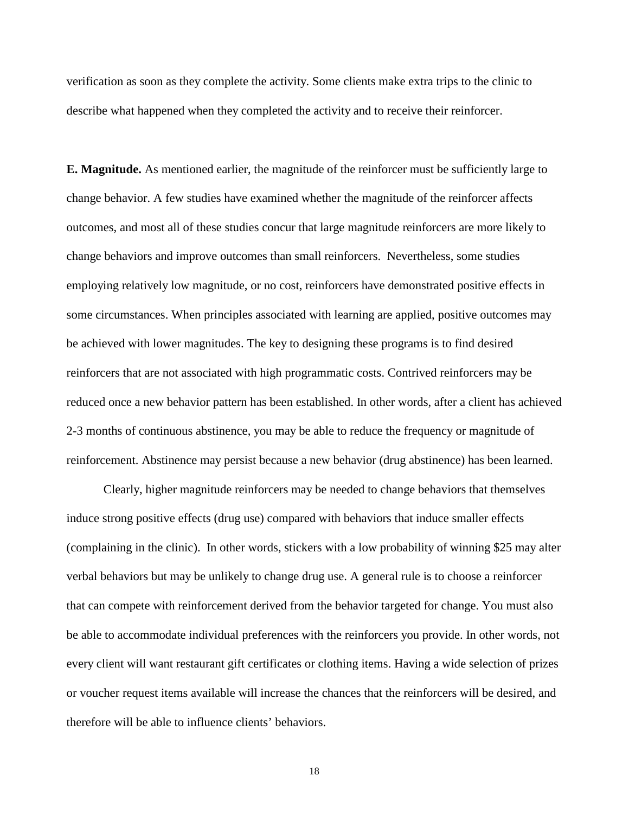verification as soon as they complete the activity. Some clients make extra trips to the clinic to describe what happened when they completed the activity and to receive their reinforcer.

**E. Magnitude.** As mentioned earlier, the magnitude of the reinforcer must be sufficiently large to change behavior. A few studies have examined whether the magnitude of the reinforcer affects outcomes, and most all of these studies concur that large magnitude reinforcers are more likely to change behaviors and improve outcomes than small reinforcers. Nevertheless, some studies employing relatively low magnitude, or no cost, reinforcers have demonstrated positive effects in some circumstances. When principles associated with learning are applied, positive outcomes may be achieved with lower magnitudes. The key to designing these programs is to find desired reinforcers that are not associated with high programmatic costs. Contrived reinforcers may be reduced once a new behavior pattern has been established. In other words, after a client has achieved 2-3 months of continuous abstinence, you may be able to reduce the frequency or magnitude of reinforcement. Abstinence may persist because a new behavior (drug abstinence) has been learned.

Clearly, higher magnitude reinforcers may be needed to change behaviors that themselves induce strong positive effects (drug use) compared with behaviors that induce smaller effects (complaining in the clinic). In other words, stickers with a low probability of winning \$25 may alter verbal behaviors but may be unlikely to change drug use. A general rule is to choose a reinforcer that can compete with reinforcement derived from the behavior targeted for change. You must also be able to accommodate individual preferences with the reinforcers you provide. In other words, not every client will want restaurant gift certificates or clothing items. Having a wide selection of prizes or voucher request items available will increase the chances that the reinforcers will be desired, and therefore will be able to influence clients' behaviors.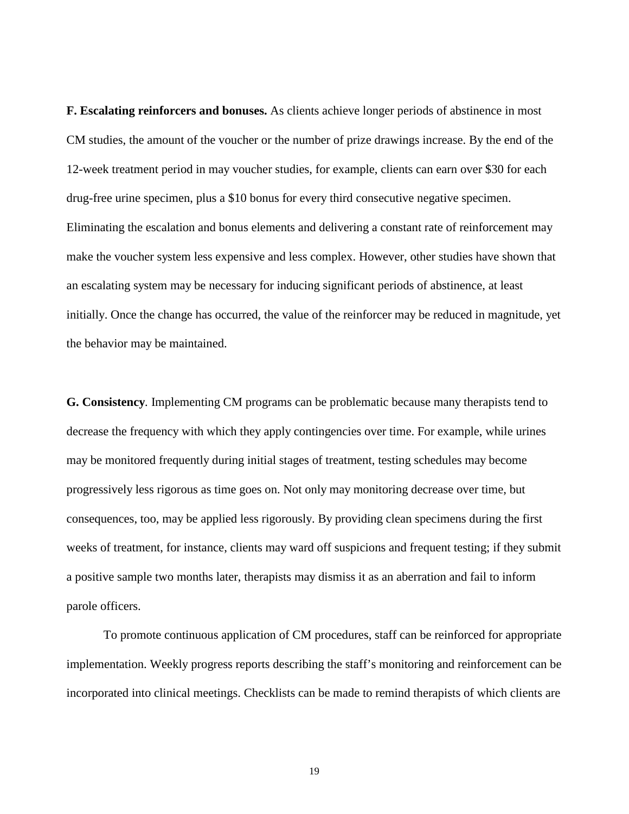**F. Escalating reinforcers and bonuses.** As clients achieve longer periods of abstinence in most CM studies, the amount of the voucher or the number of prize drawings increase. By the end of the 12-week treatment period in may voucher studies, for example, clients can earn over \$30 for each drug-free urine specimen, plus a \$10 bonus for every third consecutive negative specimen. Eliminating the escalation and bonus elements and delivering a constant rate of reinforcement may make the voucher system less expensive and less complex. However, other studies have shown that an escalating system may be necessary for inducing significant periods of abstinence, at least initially. Once the change has occurred, the value of the reinforcer may be reduced in magnitude, yet the behavior may be maintained.

**G. Consistency***.* Implementing CM programs can be problematic because many therapists tend to decrease the frequency with which they apply contingencies over time. For example, while urines may be monitored frequently during initial stages of treatment, testing schedules may become progressively less rigorous as time goes on. Not only may monitoring decrease over time, but consequences, too, may be applied less rigorously. By providing clean specimens during the first weeks of treatment, for instance, clients may ward off suspicions and frequent testing; if they submit a positive sample two months later, therapists may dismiss it as an aberration and fail to inform parole officers.

To promote continuous application of CM procedures, staff can be reinforced for appropriate implementation. Weekly progress reports describing the staff's monitoring and reinforcement can be incorporated into clinical meetings. Checklists can be made to remind therapists of which clients are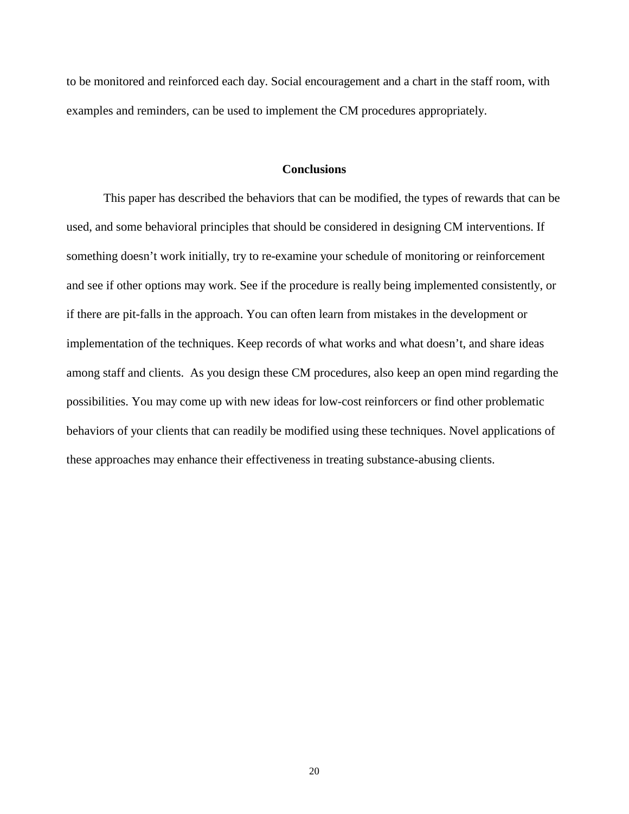to be monitored and reinforced each day. Social encouragement and a chart in the staff room, with examples and reminders, can be used to implement the CM procedures appropriately.

## **Conclusions**

This paper has described the behaviors that can be modified, the types of rewards that can be used, and some behavioral principles that should be considered in designing CM interventions. If something doesn't work initially, try to re-examine your schedule of monitoring or reinforcement and see if other options may work. See if the procedure is really being implemented consistently, or if there are pit-falls in the approach. You can often learn from mistakes in the development or implementation of the techniques. Keep records of what works and what doesn't, and share ideas among staff and clients. As you design these CM procedures, also keep an open mind regarding the possibilities. You may come up with new ideas for low-cost reinforcers or find other problematic behaviors of your clients that can readily be modified using these techniques. Novel applications of these approaches may enhance their effectiveness in treating substance-abusing clients.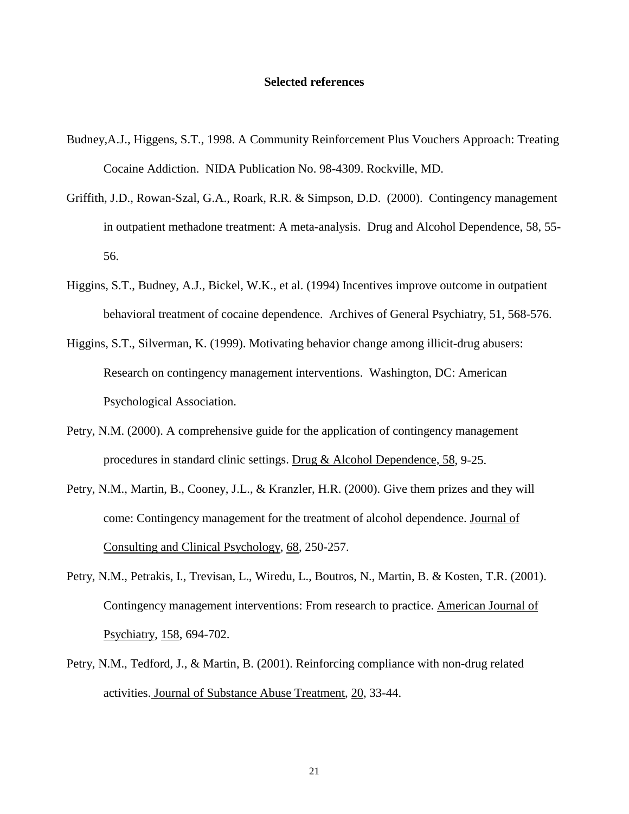#### **Selected references**

- Budney,A.J., Higgens, S.T., 1998. A Community Reinforcement Plus Vouchers Approach: Treating Cocaine Addiction. NIDA Publication No. 98-4309. Rockville, MD.
- Griffith, J.D., Rowan-Szal, G.A., Roark, R.R. & Simpson, D.D. (2000). Contingency management in outpatient methadone treatment: A meta-analysis. Drug and Alcohol Dependence, 58, 55- 56.
- Higgins, S.T., Budney, A.J., Bickel, W.K., et al. (1994) Incentives improve outcome in outpatient behavioral treatment of cocaine dependence. Archives of General Psychiatry, 51, 568-576.
- Higgins, S.T., Silverman, K. (1999). Motivating behavior change among illicit-drug abusers: Research on contingency management interventions. Washington, DC: American Psychological Association.
- Petry, N.M. (2000). A comprehensive guide for the application of contingency management procedures in standard clinic settings. Drug & Alcohol Dependence, 58, 9-25.
- Petry, N.M., Martin, B., Cooney, J.L., & Kranzler, H.R. (2000). Give them prizes and they will come: Contingency management for the treatment of alcohol dependence. Journal of Consulting and Clinical Psychology, 68, 250-257.
- Petry, N.M., Petrakis, I., Trevisan, L., Wiredu, L., Boutros, N., Martin, B. & Kosten, T.R. (2001). Contingency management interventions: From research to practice. American Journal of Psychiatry, 158, 694-702.
- Petry, N.M., Tedford, J., & Martin, B. (2001). Reinforcing compliance with non-drug related activities. Journal of Substance Abuse Treatment, 20, 33-44.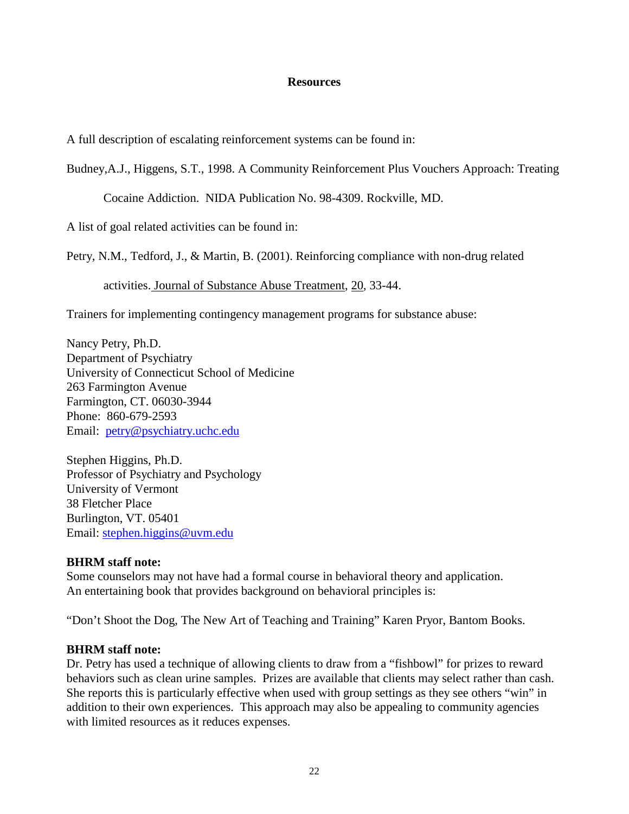## **Resources**

A full description of escalating reinforcement systems can be found in:

Budney,A.J., Higgens, S.T., 1998. A Community Reinforcement Plus Vouchers Approach: Treating

Cocaine Addiction. NIDA Publication No. 98-4309. Rockville, MD.

A list of goal related activities can be found in:

Petry, N.M., Tedford, J., & Martin, B. (2001). Reinforcing compliance with non-drug related

activities. Journal of Substance Abuse Treatment, 20, 33-44.

Trainers for implementing contingency management programs for substance abuse:

Nancy Petry, Ph.D. Department of Psychiatry University of Connecticut School of Medicine 263 Farmington Avenue Farmington, CT. 06030-3944 Phone: 860-679-2593 Email: [petry@psychiatry.uchc.edu](mailto:petry@psychiatry.uchc.edu)

Stephen Higgins, Ph.D. Professor of Psychiatry and Psychology University of Vermont 38 Fletcher Place Burlington, VT. 05401 Email: [stephen.higgins@uvm.edu](mailto:stephen.higgins@uvm.edu)

## **BHRM staff note:**

Some counselors may not have had a formal course in behavioral theory and application. An entertaining book that provides background on behavioral principles is:

"Don't Shoot the Dog, The New Art of Teaching and Training" Karen Pryor, Bantom Books.

## **BHRM staff note:**

Dr. Petry has used a technique of allowing clients to draw from a "fishbowl" for prizes to reward behaviors such as clean urine samples. Prizes are available that clients may select rather than cash. She reports this is particularly effective when used with group settings as they see others "win" in addition to their own experiences. This approach may also be appealing to community agencies with limited resources as it reduces expenses.